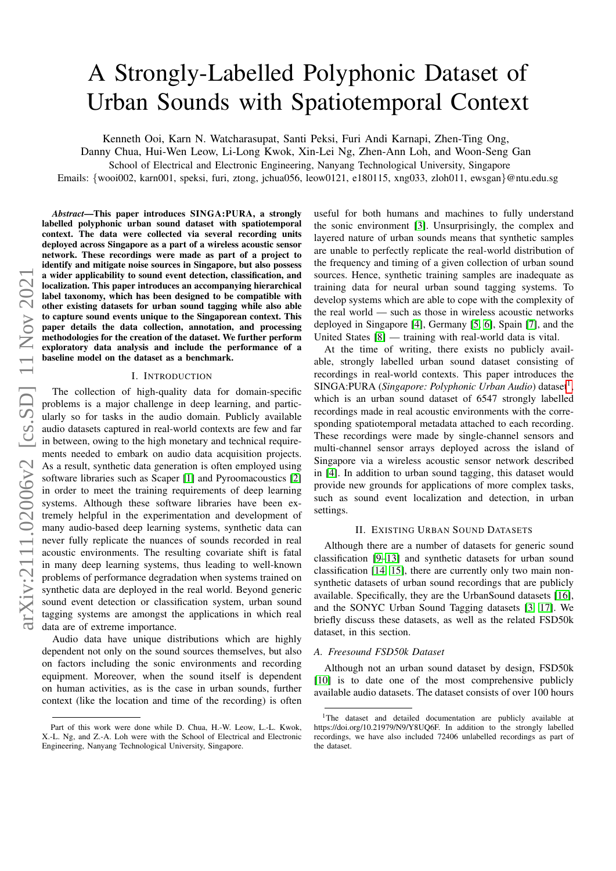# A Strongly-Labelled Polyphonic Dataset of Urban Sounds with Spatiotemporal Context

Kenneth Ooi, Karn N. Watcharasupat, Santi Peksi, Furi Andi Karnapi, Zhen-Ting Ong,

Danny Chua, Hui-Wen Leow, Li-Long Kwok, Xin-Lei Ng, Zhen-Ann Loh, and Woon-Seng Gan

School of Electrical and Electronic Engineering, Nanyang Technological University, Singapore

Emails: {wooi002, karn001, speksi, furi, ztong, jchua056, leow0121, e180115, xng033, zloh011, ewsgan}@ntu.edu.sg

*Abstract*—This paper introduces SINGA:PURA, a strongly labelled polyphonic urban sound dataset with spatiotemporal context. The data were collected via several recording units deployed across Singapore as a part of a wireless acoustic sensor network. These recordings were made as part of a project to identify and mitigate noise sources in Singapore, but also possess a wider applicability to sound event detection, classification, and localization. This paper introduces an accompanying hierarchical label taxonomy, which has been designed to be compatible with other existing datasets for urban sound tagging while also able to capture sound events unique to the Singaporean context. This paper details the data collection, annotation, and processing methodologies for the creation of the dataset. We further perform exploratory data analysis and include the performance of a baseline model on the dataset as a benchmark.

#### I. INTRODUCTION

The collection of high-quality data for domain-specific problems is a major challenge in deep learning, and particularly so for tasks in the audio domain. Publicly available audio datasets captured in real-world contexts are few and far in between, owing to the high monetary and technical requirements needed to embark on audio data acquisition projects. As a result, synthetic data generation is often employed using software libraries such as Scaper [\[1\]](#page-5-0) and Pyroomacoustics [\[2\]](#page-5-1) in order to meet the training requirements of deep learning systems. Although these software libraries have been extremely helpful in the experimentation and development of many audio-based deep learning systems, synthetic data can never fully replicate the nuances of sounds recorded in real acoustic environments. The resulting covariate shift is fatal in many deep learning systems, thus leading to well-known problems of performance degradation when systems trained on synthetic data are deployed in the real world. Beyond generic sound event detection or classification system, urban sound tagging systems are amongst the applications in which real data are of extreme importance.

Audio data have unique distributions which are highly dependent not only on the sound sources themselves, but also on factors including the sonic environments and recording equipment. Moreover, when the sound itself is dependent on human activities, as is the case in urban sounds, further context (like the location and time of the recording) is often

useful for both humans and machines to fully understand the sonic environment [\[3\]](#page-5-2). Unsurprisingly, the complex and layered nature of urban sounds means that synthetic samples are unable to perfectly replicate the real-world distribution of the frequency and timing of a given collection of urban sound sources. Hence, synthetic training samples are inadequate as training data for neural urban sound tagging systems. To develop systems which are able to cope with the complexity of the real world — such as those in wireless acoustic networks deployed in Singapore [\[4\]](#page-5-3), Germany [\[5,](#page-5-4) [6\]](#page-5-5), Spain [\[7\]](#page-5-6), and the United States [\[8\]](#page-5-7) — training with real-world data is vital.

At the time of writing, there exists no publicly available, strongly labelled urban sound dataset consisting of recordings in real-world contexts. This paper introduces the SINGA:PURA (Singapore: Polyphonic Urban Audio) dataset<sup>[1](#page-0-0)</sup>, which is an urban sound dataset of 6547 strongly labelled recordings made in real acoustic environments with the corresponding spatiotemporal metadata attached to each recording. These recordings were made by single-channel sensors and multi-channel sensor arrays deployed across the island of Singapore via a wireless acoustic sensor network described in [\[4\]](#page-5-3). In addition to urban sound tagging, this dataset would provide new grounds for applications of more complex tasks, such as sound event localization and detection, in urban settings.

# II. EXISTING URBAN SOUND DATASETS

Although there are a number of datasets for generic sound classification [\[9–](#page-5-8)[13\]](#page-5-9) and synthetic datasets for urban sound classification [\[14,](#page-5-10) [15\]](#page-5-11), there are currently only two main nonsynthetic datasets of urban sound recordings that are publicly available. Specifically, they are the UrbanSound datasets [\[16\]](#page-5-12), and the SONYC Urban Sound Tagging datasets [\[3,](#page-5-2) [17\]](#page-5-13). We briefly discuss these datasets, as well as the related FSD50k dataset, in this section.

# *A. Freesound FSD50k Dataset*

Although not an urban sound dataset by design, FSD50k [\[10\]](#page-5-14) is to date one of the most comprehensive publicly available audio datasets. The dataset consists of over 100 hours

Part of this work were done while D. Chua, H.-W. Leow, L.-L. Kwok, X.-L. Ng, and Z.-A. Loh were with the School of Electrical and Electronic Engineering, Nanyang Technological University, Singapore.

<span id="page-0-0"></span><sup>&</sup>lt;sup>1</sup>The dataset and detailed documentation are publicly available at https://doi.org/10.21979/N9/Y8UQ6F. In addition to the strongly labelled recordings, we have also included 72406 unlabelled recordings as part of the dataset.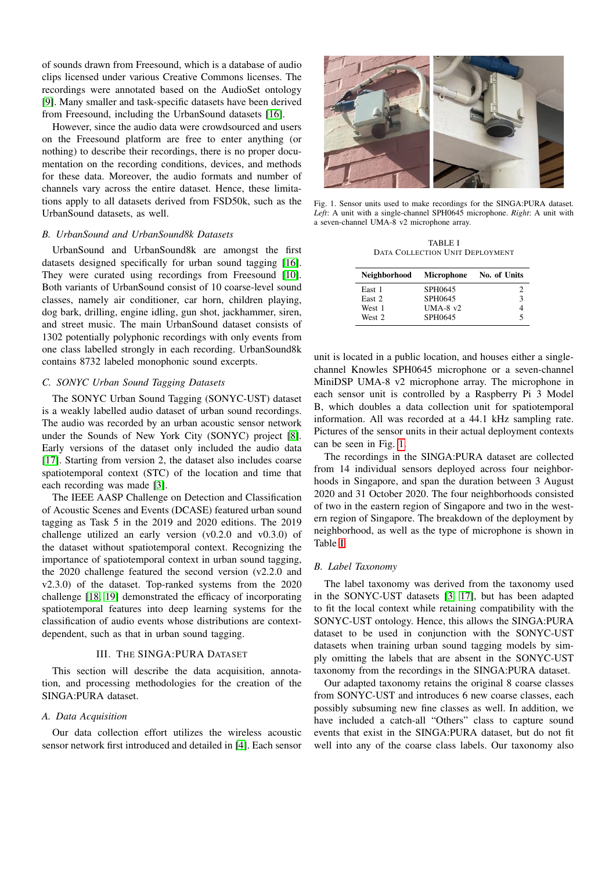of sounds drawn from Freesound, which is a database of audio clips licensed under various Creative Commons licenses. The recordings were annotated based on the AudioSet ontology [\[9\]](#page-5-8). Many smaller and task-specific datasets have been derived from Freesound, including the UrbanSound datasets [\[16\]](#page-5-12).

However, since the audio data were crowdsourced and users on the Freesound platform are free to enter anything (or nothing) to describe their recordings, there is no proper documentation on the recording conditions, devices, and methods for these data. Moreover, the audio formats and number of channels vary across the entire dataset. Hence, these limitations apply to all datasets derived from FSD50k, such as the UrbanSound datasets, as well.

## *B. UrbanSound and UrbanSound8k Datasets*

UrbanSound and UrbanSound8k are amongst the first datasets designed specifically for urban sound tagging [\[16\]](#page-5-12). They were curated using recordings from Freesound [\[10\]](#page-5-14). Both variants of UrbanSound consist of 10 coarse-level sound classes, namely air conditioner, car horn, children playing, dog bark, drilling, engine idling, gun shot, jackhammer, siren, and street music. The main UrbanSound dataset consists of 1302 potentially polyphonic recordings with only events from one class labelled strongly in each recording. UrbanSound8k contains 8732 labeled monophonic sound excerpts.

# *C. SONYC Urban Sound Tagging Datasets*

The SONYC Urban Sound Tagging (SONYC-UST) dataset is a weakly labelled audio dataset of urban sound recordings. The audio was recorded by an urban acoustic sensor network under the Sounds of New York City (SONYC) project [\[8\]](#page-5-7). Early versions of the dataset only included the audio data [\[17\]](#page-5-13). Starting from version 2, the dataset also includes coarse spatiotemporal context (STC) of the location and time that each recording was made [\[3\]](#page-5-2).

The IEEE AASP Challenge on Detection and Classification of Acoustic Scenes and Events (DCASE) featured urban sound tagging as Task 5 in the 2019 and 2020 editions. The 2019 challenge utilized an early version (v0.2.0 and v0.3.0) of the dataset without spatiotemporal context. Recognizing the importance of spatiotemporal context in urban sound tagging, the 2020 challenge featured the second version (v2.2.0 and v2.3.0) of the dataset. Top-ranked systems from the 2020 challenge [\[18,](#page-5-15) [19\]](#page-5-16) demonstrated the efficacy of incorporating spatiotemporal features into deep learning systems for the classification of audio events whose distributions are contextdependent, such as that in urban sound tagging.

# III. THE SINGA:PURA DATASET

This section will describe the data acquisition, annotation, and processing methodologies for the creation of the SINGA:PURA dataset.

# *A. Data Acquisition*

Our data collection effort utilizes the wireless acoustic sensor network first introduced and detailed in [\[4\]](#page-5-3). Each sensor



Fig. 1. Sensor units used to make recordings for the SINGA:PURA dataset. *Left*: A unit with a single-channel SPH0645 microphone. *Right*: A unit with a seven-channel UMA-8 v2 microphone array.

<span id="page-1-0"></span>TABLE I DATA COLLECTION UNIT DEPLOYMENT

<span id="page-1-1"></span>

| Neighborhood | Microphone | No. of Units |
|--------------|------------|--------------|
| East 1       | SPH0645    |              |
| East 2       | SPH0645    | 3            |
| West 1       | $UMA-8 v2$ |              |
| West 2       | SPH0645    |              |

unit is located in a public location, and houses either a singlechannel Knowles SPH0645 microphone or a seven-channel MiniDSP UMA-8 v2 microphone array. The microphone in each sensor unit is controlled by a Raspberry Pi 3 Model B, which doubles a data collection unit for spatiotemporal information. All was recorded at a 44.1 kHz sampling rate. Pictures of the sensor units in their actual deployment contexts can be seen in Fig. [1.](#page-1-0)

The recordings in the SINGA:PURA dataset are collected from 14 individual sensors deployed across four neighborhoods in Singapore, and span the duration between 3 August 2020 and 31 October 2020. The four neighborhoods consisted of two in the eastern region of Singapore and two in the western region of Singapore. The breakdown of the deployment by neighborhood, as well as the type of microphone is shown in Table [I.](#page-1-1)

# *B. Label Taxonomy*

The label taxonomy was derived from the taxonomy used in the SONYC-UST datasets [\[3,](#page-5-2) [17\]](#page-5-13), but has been adapted to fit the local context while retaining compatibility with the SONYC-UST ontology. Hence, this allows the SINGA:PURA dataset to be used in conjunction with the SONYC-UST datasets when training urban sound tagging models by simply omitting the labels that are absent in the SONYC-UST taxonomy from the recordings in the SINGA:PURA dataset.

Our adapted taxonomy retains the original 8 coarse classes from SONYC-UST and introduces 6 new coarse classes, each possibly subsuming new fine classes as well. In addition, we have included a catch-all "Others" class to capture sound events that exist in the SINGA:PURA dataset, but do not fit well into any of the coarse class labels. Our taxonomy also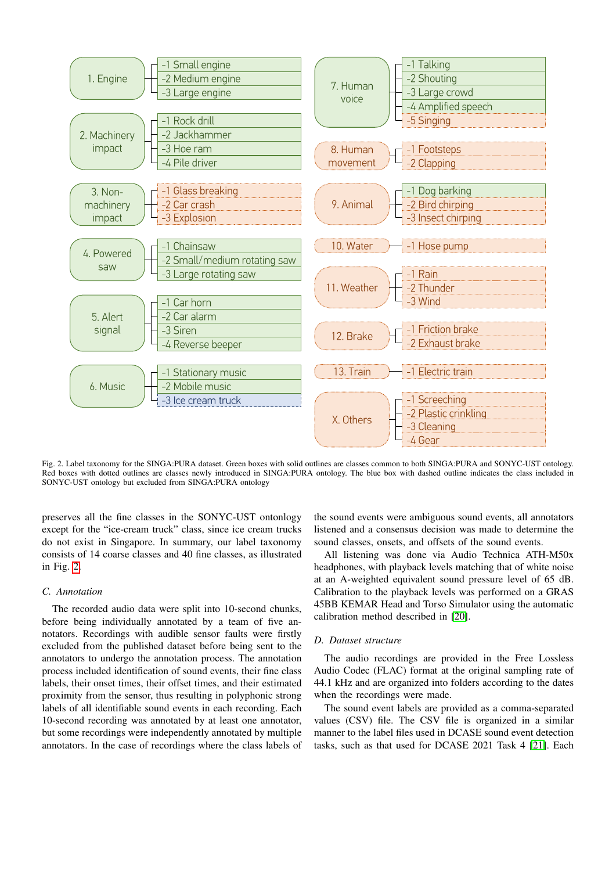

<span id="page-2-0"></span>Fig. 2. Label taxonomy for the SINGA:PURA dataset. Green boxes with solid outlines are classes common to both SINGA:PURA and SONYC-UST ontology. Red boxes with dotted outlines are classes newly introduced in SINGA:PURA ontology. The blue box with dashed outline indicates the class included in SONYC-UST ontology but excluded from SINGA:PURA ontology

preserves all the fine classes in the SONYC-UST ontonlogy except for the "ice-cream truck" class, since ice cream trucks do not exist in Singapore. In summary, our label taxonomy consists of 14 coarse classes and 40 fine classes, as illustrated in Fig. [2.](#page-2-0)

### *C. Annotation*

The recorded audio data were split into 10-second chunks, before being individually annotated by a team of five annotators. Recordings with audible sensor faults were firstly excluded from the published dataset before being sent to the annotators to undergo the annotation process. The annotation process included identification of sound events, their fine class labels, their onset times, their offset times, and their estimated proximity from the sensor, thus resulting in polyphonic strong labels of all identifiable sound events in each recording. Each 10-second recording was annotated by at least one annotator, but some recordings were independently annotated by multiple annotators. In the case of recordings where the class labels of

the sound events were ambiguous sound events, all annotators listened and a consensus decision was made to determine the sound classes, onsets, and offsets of the sound events.

All listening was done via Audio Technica ATH-M50x headphones, with playback levels matching that of white noise at an A-weighted equivalent sound pressure level of 65 dB. Calibration to the playback levels was performed on a GRAS 45BB KEMAR Head and Torso Simulator using the automatic calibration method described in [\[20\]](#page-6-0).

# *D. Dataset structure*

The audio recordings are provided in the Free Lossless Audio Codec (FLAC) format at the original sampling rate of 44.1 kHz and are organized into folders according to the dates when the recordings were made.

The sound event labels are provided as a comma-separated values (CSV) file. The CSV file is organized in a similar manner to the label files used in DCASE sound event detection tasks, such as that used for DCASE 2021 Task 4 [\[21\]](#page-6-1). Each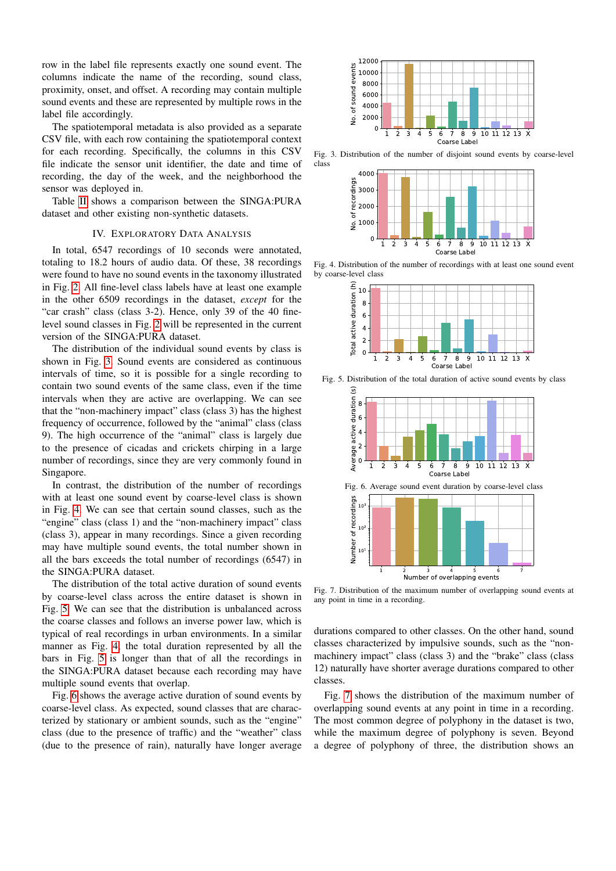row in the label file represents exactly one sound event. The columns indicate the name of the recording, sound class, proximity, onset, and offset. A recording may contain multiple sound events and these are represented by multiple rows in the label file accordingly.

The spatiotemporal metadata is also provided as a separate CSV file, with each row containing the spatiotemporal context for each recording. Specifically, the columns in this CSV file indicate the sensor unit identifier, the date and time of recording, the day of the week, and the neighborhood the sensor was deployed in.

Table [II](#page-4-0) shows a comparison between the SINGA:PURA dataset and other existing non-synthetic datasets.

#### IV. EXPLORATORY DATA ANALYSIS

In total, 6547 recordings of 10 seconds were annotated, totaling to 18.2 hours of audio data. Of these, 38 recordings were found to have no sound events in the taxonomy illustrated in Fig. [2.](#page-2-0) All fine-level class labels have at least one example in the other 6509 recordings in the dataset, *except* for the "car crash" class (class 3-2). Hence, only 39 of the 40 finelevel sound classes in Fig. [2](#page-2-0) will be represented in the current version of the SINGA:PURA dataset.

The distribution of the individual sound events by class is shown in Fig. [3.](#page-3-0) Sound events are considered as continuous intervals of time, so it is possible for a single recording to contain two sound events of the same class, even if the time intervals when they are active are overlapping. We can see that the "non-machinery impact" class (class 3) has the highest frequency of occurrence, followed by the "animal" class (class 9). The high occurrence of the "animal" class is largely due to the presence of cicadas and crickets chirping in a large number of recordings, since they are very commonly found in Singapore.

In contrast, the distribution of the number of recordings with at least one sound event by coarse-level class is shown in Fig. [4.](#page-3-1) We can see that certain sound classes, such as the "engine" class (class 1) and the "non-machinery impact" class (class 3), appear in many recordings. Since a given recording may have multiple sound events, the total number shown in all the bars exceeds the total number of recordings (6547) in the SINGA:PURA dataset.

The distribution of the total active duration of sound events by coarse-level class across the entire dataset is shown in Fig. [5.](#page-3-2) We can see that the distribution is unbalanced across the coarse classes and follows an inverse power law, which is typical of real recordings in urban environments. In a similar manner as Fig. [4,](#page-3-1) the total duration represented by all the bars in Fig. [5](#page-3-2) is longer than that of all the recordings in the SINGA:PURA dataset because each recording may have multiple sound events that overlap.

Fig. [6](#page-3-3) shows the average active duration of sound events by coarse-level class. As expected, sound classes that are characterized by stationary or ambient sounds, such as the "engine" class (due to the presence of traffic) and the "weather" class (due to the presence of rain), naturally have longer average



Fig. 3. Distribution of the number of disjoint sound events by coarse-level class

<span id="page-3-0"></span>

Fig. 4. Distribution of the number of recordings with at least one sound event by coarse-level class

<span id="page-3-1"></span>

<span id="page-3-3"></span><span id="page-3-2"></span>

Fig. 5. Distribution of the total duration of active sound events by class

<span id="page-3-4"></span>Fig. 7. Distribution of the maximum number of overlapping sound events at any point in time in a recording.

durations compared to other classes. On the other hand, sound classes characterized by impulsive sounds, such as the "nonmachinery impact" class (class 3) and the "brake" class (class 12) naturally have shorter average durations compared to other classes.

Fig. [7](#page-3-4) shows the distribution of the maximum number of overlapping sound events at any point in time in a recording. The most common degree of polyphony in the dataset is two, while the maximum degree of polyphony is seven. Beyond a degree of polyphony of three, the distribution shows an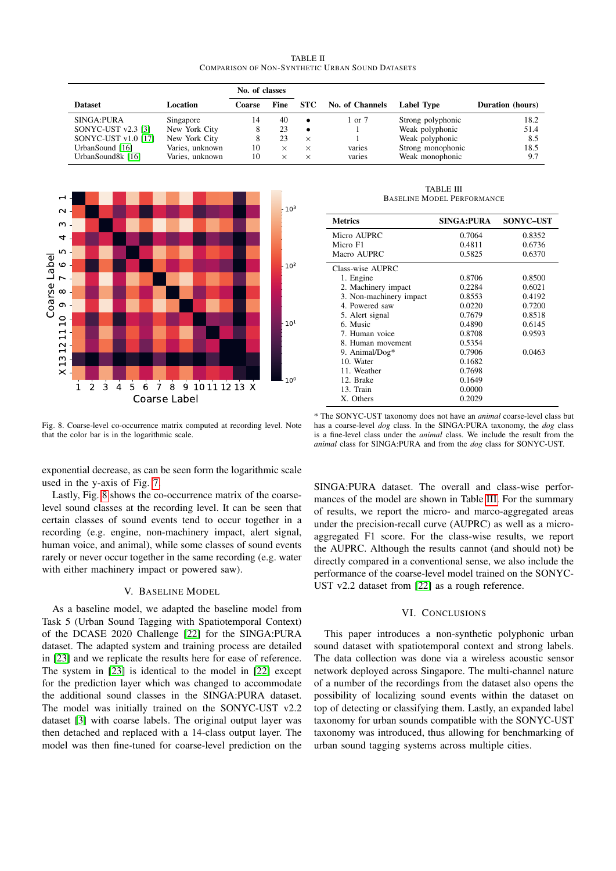TABLE II COMPARISON OF NON-SYNTHETIC URBAN SOUND DATASETS

<span id="page-4-0"></span>

|                     |                 | No. of classes |          |          |                 |                   |                         |
|---------------------|-----------------|----------------|----------|----------|-----------------|-------------------|-------------------------|
| <b>Dataset</b>      | Location        | Coarse         | Fine     | STC -    | No. of Channels | Label Type        | <b>Duration</b> (hours) |
| SINGA:PURA          | Singapore       | 14             | 40       | ٠        | or $7$          | Strong polyphonic | 18.2                    |
| SONYC-UST v2.3 [3]  | New York City   | 8              | 23       |          |                 | Weak polyphonic   | 51.4                    |
| SONYC-UST v1.0 [17] | New York City   | 8              | 23       | ×        |                 | Weak polyphonic   | 8.5                     |
| UrbanSound [16]     | Varies, unknown | 10             | $\times$ | ×        | varies          | Strong monophonic | 18.5                    |
| UrbanSound8k [16]   | Varies, unknown | 10             |          | $\times$ | varies          | Weak monophonic   | 9.7                     |



<span id="page-4-1"></span>Fig. 8. Coarse-level co-occurrence matrix computed at recording level. Note that the color bar is in the logarithmic scale.

exponential decrease, as can be seen form the logarithmic scale used in the y-axis of Fig. [7.](#page-3-4)

Lastly, Fig. [8](#page-4-1) shows the co-occurrence matrix of the coarselevel sound classes at the recording level. It can be seen that certain classes of sound events tend to occur together in a recording (e.g. engine, non-machinery impact, alert signal, human voice, and animal), while some classes of sound events rarely or never occur together in the same recording (e.g. water with either machinery impact or powered saw).

#### V. BASELINE MODEL

As a baseline model, we adapted the baseline model from Task 5 (Urban Sound Tagging with Spatiotemporal Context) of the DCASE 2020 Challenge [\[22\]](#page-6-2) for the SINGA:PURA dataset. The adapted system and training process are detailed in [\[23\]](#page-6-3) and we replicate the results here for ease of reference. The system in [\[23\]](#page-6-3) is identical to the model in [\[22\]](#page-6-2) except for the prediction layer which was changed to accommodate the additional sound classes in the SINGA:PURA dataset. The model was initially trained on the SONYC-UST v2.2 dataset [\[3\]](#page-5-2) with coarse labels. The original output layer was then detached and replaced with a 14-class output layer. The model was then fine-tuned for coarse-level prediction on the

TABLE III BASELINE MODEL PERFORMANCE

<span id="page-4-2"></span>

| <b>Metrics</b>          | SINGA:PURA | <b>SONYC-UST</b> |
|-------------------------|------------|------------------|
| Micro AUPRC             | 0.7064     | 0.8352           |
| Micro F1                | 0.4811     | 0.6736           |
| Macro AUPRC             | 0.5825     | 0.6370           |
| Class-wise AUPRC        |            |                  |
| 1. Engine               | 0.8706     | 0.8500           |
| 2. Machinery impact     | 0.2284     | 0.6021           |
| 3. Non-machinery impact | 0.8553     | 0.4192           |
| 4. Powered saw          | 0.0220     | 0.7200           |
| 5. Alert signal         | 0.7679     | 0.8518           |
| 6. Music                | 0.4890     | 0.6145           |
| 7. Human voice          | 0.8708     | 0.9593           |
| 8. Human movement       | 0.5354     |                  |
| 9. Animal/Dog*          | 0.7906     | 0.0463           |
| 10. Water               | 0.1682     |                  |
| 11. Weather             | 0.7698     |                  |
| 12. Brake               | 0.1649     |                  |
| 13. Train               | 0.0000     |                  |
| X. Others               | 0.2029     |                  |

\* The SONYC-UST taxonomy does not have an *animal* coarse-level class but has a coarse-level *dog* class. In the SINGA:PURA taxonomy, the *dog* class is a fine-level class under the *animal* class. We include the result from the *animal* class for SINGA:PURA and from the *dog* class for SONYC-UST.

SINGA:PURA dataset. The overall and class-wise performances of the model are shown in Table [III.](#page-4-2) For the summary of results, we report the micro- and marco-aggregated areas under the precision-recall curve (AUPRC) as well as a microaggregated F1 score. For the class-wise results, we report the AUPRC. Although the results cannot (and should not) be directly compared in a conventional sense, we also include the performance of the coarse-level model trained on the SONYC-UST v2.2 dataset from [\[22\]](#page-6-2) as a rough reference.

# VI. CONCLUSIONS

This paper introduces a non-synthetic polyphonic urban sound dataset with spatiotemporal context and strong labels. The data collection was done via a wireless acoustic sensor network deployed across Singapore. The multi-channel nature of a number of the recordings from the dataset also opens the possibility of localizing sound events within the dataset on top of detecting or classifying them. Lastly, an expanded label taxonomy for urban sounds compatible with the SONYC-UST taxonomy was introduced, thus allowing for benchmarking of urban sound tagging systems across multiple cities.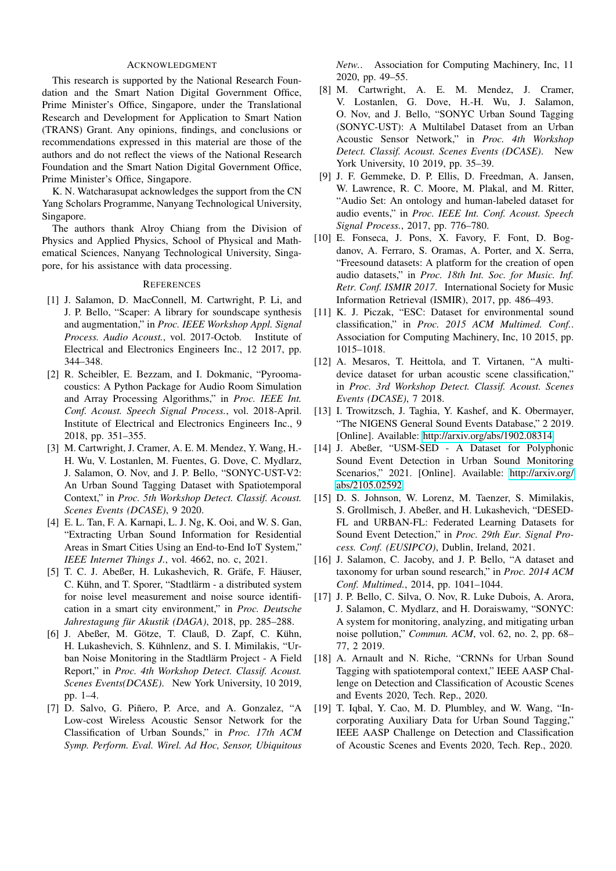## ACKNOWLEDGMENT

This research is supported by the National Research Foundation and the Smart Nation Digital Government Office, Prime Minister's Office, Singapore, under the Translational Research and Development for Application to Smart Nation (TRANS) Grant. Any opinions, findings, and conclusions or recommendations expressed in this material are those of the authors and do not reflect the views of the National Research Foundation and the Smart Nation Digital Government Office, Prime Minister's Office, Singapore.

K. N. Watcharasupat acknowledges the support from the CN Yang Scholars Programme, Nanyang Technological University, Singapore.

The authors thank Alroy Chiang from the Division of Physics and Applied Physics, School of Physical and Mathematical Sciences, Nanyang Technological University, Singapore, for his assistance with data processing.

## **REFERENCES**

- <span id="page-5-0"></span>[1] J. Salamon, D. MacConnell, M. Cartwright, P. Li, and J. P. Bello, "Scaper: A library for soundscape synthesis and augmentation," in *Proc. IEEE Workshop Appl. Signal Process. Audio Acoust.*, vol. 2017-Octob. Institute of Electrical and Electronics Engineers Inc., 12 2017, pp. 344–348.
- <span id="page-5-1"></span>[2] R. Scheibler, E. Bezzam, and I. Dokmanic, "Pyroomacoustics: A Python Package for Audio Room Simulation and Array Processing Algorithms," in *Proc. IEEE Int. Conf. Acoust. Speech Signal Process.*, vol. 2018-April. Institute of Electrical and Electronics Engineers Inc., 9 2018, pp. 351–355.
- <span id="page-5-2"></span>[3] M. Cartwright, J. Cramer, A. E. M. Mendez, Y. Wang, H.- H. Wu, V. Lostanlen, M. Fuentes, G. Dove, C. Mydlarz, J. Salamon, O. Nov, and J. P. Bello, "SONYC-UST-V2: An Urban Sound Tagging Dataset with Spatiotemporal Context," in *Proc. 5th Workshop Detect. Classif. Acoust. Scenes Events (DCASE)*, 9 2020.
- <span id="page-5-3"></span>[4] E. L. Tan, F. A. Karnapi, L. J. Ng, K. Ooi, and W. S. Gan, "Extracting Urban Sound Information for Residential Areas in Smart Cities Using an End-to-End IoT System," *IEEE Internet Things J.*, vol. 4662, no. c, 2021.
- <span id="page-5-4"></span>[5] T. C. J. Abeßer, H. Lukashevich, R. Gräfe, F. Häuser, C. Kühn, and T. Sporer, "Stadtlärm - a distributed system for noise level measurement and noise source identification in a smart city environment," in *Proc. Deutsche Jahrestagung für Akustik (DAGA)*, 2018, pp. 285–288.
- <span id="page-5-5"></span>[6] J. Abeßer, M. Götze, T. Clauß, D. Zapf, C. Kühn, H. Lukashevich, S. Kühnlenz, and S. I. Mimilakis, "Urban Noise Monitoring in the Stadtlärm Project - A Field Report," in *Proc. 4th Workshop Detect. Classif. Acoust. Scenes Events(DCASE)*. New York University, 10 2019, pp. 1–4.
- <span id="page-5-6"></span>[7] D. Salvo, G. Piñero, P. Arce, and A. Gonzalez, "A Low-cost Wireless Acoustic Sensor Network for the Classification of Urban Sounds," in *Proc. 17th ACM Symp. Perform. Eval. Wirel. Ad Hoc, Sensor, Ubiquitous*

*Netw.*. Association for Computing Machinery, Inc, 11 2020, pp. 49–55.

- <span id="page-5-7"></span>[8] M. Cartwright, A. E. M. Mendez, J. Cramer, V. Lostanlen, G. Dove, H.-H. Wu, J. Salamon, O. Nov, and J. Bello, "SONYC Urban Sound Tagging (SONYC-UST): A Multilabel Dataset from an Urban Acoustic Sensor Network," in *Proc. 4th Workshop Detect. Classif. Acoust. Scenes Events (DCASE)*. New York University, 10 2019, pp. 35–39.
- <span id="page-5-8"></span>[9] J. F. Gemmeke, D. P. Ellis, D. Freedman, A. Jansen, W. Lawrence, R. C. Moore, M. Plakal, and M. Ritter, "Audio Set: An ontology and human-labeled dataset for audio events," in *Proc. IEEE Int. Conf. Acoust. Speech Signal Process.*, 2017, pp. 776–780.
- <span id="page-5-14"></span>[10] E. Fonseca, J. Pons, X. Favory, F. Font, D. Bogdanov, A. Ferraro, S. Oramas, A. Porter, and X. Serra, "Freesound datasets: A platform for the creation of open audio datasets," in *Proc. 18th Int. Soc. for Music. Inf. Retr. Conf. ISMIR 2017*. International Society for Music Information Retrieval (ISMIR), 2017, pp. 486–493.
- [11] K. J. Piczak, "ESC: Dataset for environmental sound classification," in *Proc. 2015 ACM Multimed. Conf.*. Association for Computing Machinery, Inc, 10 2015, pp. 1015–1018.
- [12] A. Mesaros, T. Heittola, and T. Virtanen, "A multidevice dataset for urban acoustic scene classification," in *Proc. 3rd Workshop Detect. Classif. Acoust. Scenes Events (DCASE)*, 7 2018.
- <span id="page-5-9"></span>[13] I. Trowitzsch, J. Taghia, Y. Kashef, and K. Obermayer, "The NIGENS General Sound Events Database," 2 2019. [Online]. Available:<http://arxiv.org/abs/1902.08314>
- <span id="page-5-10"></span>[14] J. Abeßer, "USM-SED - A Dataset for Polyphonic Sound Event Detection in Urban Sound Monitoring Scenarios," 2021. [Online]. Available: [http://arxiv.org/](http://arxiv.org/abs/2105.02592) [abs/2105.02592](http://arxiv.org/abs/2105.02592)
- <span id="page-5-11"></span>[15] D. S. Johnson, W. Lorenz, M. Taenzer, S. Mimilakis, S. Grollmisch, J. Abeßer, and H. Lukashevich, "DESED-FL and URBAN-FL: Federated Learning Datasets for Sound Event Detection," in *Proc. 29th Eur. Signal Process. Conf. (EUSIPCO)*, Dublin, Ireland, 2021.
- <span id="page-5-12"></span>[16] J. Salamon, C. Jacoby, and J. P. Bello, "A dataset and taxonomy for urban sound research," in *Proc. 2014 ACM Conf. Multimed.*, 2014, pp. 1041–1044.
- <span id="page-5-13"></span>[17] J. P. Bello, C. Silva, O. Nov, R. Luke Dubois, A. Arora, J. Salamon, C. Mydlarz, and H. Doraiswamy, "SONYC: A system for monitoring, analyzing, and mitigating urban noise pollution," *Commun. ACM*, vol. 62, no. 2, pp. 68– 77, 2 2019.
- <span id="page-5-15"></span>[18] A. Arnault and N. Riche, "CRNNs for Urban Sound Tagging with spatiotemporal context," IEEE AASP Challenge on Detection and Classification of Acoustic Scenes and Events 2020, Tech. Rep., 2020.
- <span id="page-5-16"></span>[19] T. Iqbal, Y. Cao, M. D. Plumbley, and W. Wang, "Incorporating Auxiliary Data for Urban Sound Tagging," IEEE AASP Challenge on Detection and Classification of Acoustic Scenes and Events 2020, Tech. Rep., 2020.